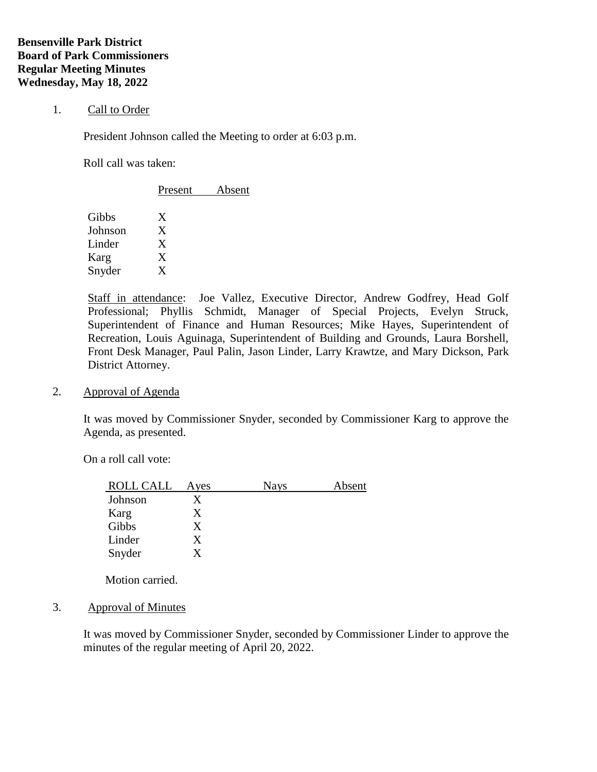### 1. Call to Order

President Johnson called the Meeting to order at 6:03 p.m.

Roll call was taken:

|         | Present | Absent |  |
|---------|---------|--------|--|
| Gibbs   | Χ       |        |  |
| Johnson | X       |        |  |
| Linder  | X       |        |  |
| Karg    | Χ       |        |  |
| Snyder  | X       |        |  |
|         |         |        |  |

Staff in attendance: Joe Vallez, Executive Director, Andrew Godfrey, Head Golf Professional; Phyllis Schmidt, Manager of Special Projects, Evelyn Struck, Superintendent of Finance and Human Resources; Mike Hayes, Superintendent of Recreation, Louis Aguinaga, Superintendent of Building and Grounds, Laura Borshell, Front Desk Manager, Paul Palin, Jason Linder, Larry Krawtze, and Mary Dickson, Park District Attorney.

2. Approval of Agenda

It was moved by Commissioner Snyder, seconded by Commissioner Karg to approve the Agenda, as presented.

On a roll call vote:

| <b>ROLL CALL</b> | Ayes | <b>Nays</b> | Absent |
|------------------|------|-------------|--------|
| Johnson          | X    |             |        |
| Karg             | X    |             |        |
| Gibbs            | X    |             |        |
| Linder           | X    |             |        |
| Snyder           | X    |             |        |

Motion carried.

3. Approval of Minutes

It was moved by Commissioner Snyder, seconded by Commissioner Linder to approve the minutes of the regular meeting of April 20, 2022.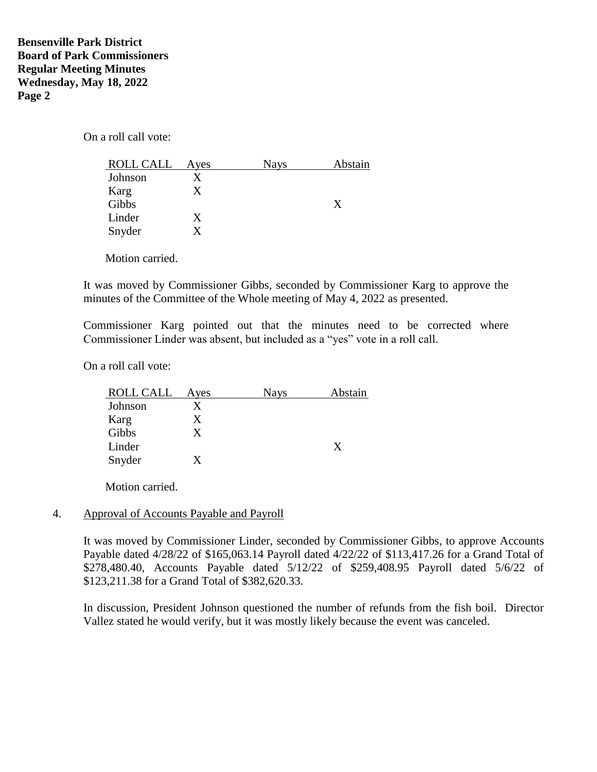On a roll call vote:

| ROLL CALL | Ayes | <b>Nays</b> | Abstain |
|-----------|------|-------------|---------|
| Johnson   |      |             |         |
| Karg      |      |             |         |
| Gibbs     |      |             | X       |
| Linder    | X    |             |         |
| Snyder    |      |             |         |

Motion carried.

It was moved by Commissioner Gibbs, seconded by Commissioner Karg to approve the minutes of the Committee of the Whole meeting of May 4, 2022 as presented.

Commissioner Karg pointed out that the minutes need to be corrected where Commissioner Linder was absent, but included as a "yes" vote in a roll call.

On a roll call vote:

| ROLL CALL | Ayes | Nays | Abstain |
|-----------|------|------|---------|
| Johnson   |      |      |         |
| Karg      | Х    |      |         |
| Gibbs     | X    |      |         |
| Linder    |      |      | X       |
| Snyder    |      |      |         |

Motion carried.

### 4. Approval of Accounts Payable and Payroll

It was moved by Commissioner Linder, seconded by Commissioner Gibbs, to approve Accounts Payable dated 4/28/22 of \$165,063.14 Payroll dated 4/22/22 of \$113,417.26 for a Grand Total of \$278,480.40, Accounts Payable dated 5/12/22 of \$259,408.95 Payroll dated 5/6/22 of \$123,211.38 for a Grand Total of \$382,620.33.

In discussion, President Johnson questioned the number of refunds from the fish boil. Director Vallez stated he would verify, but it was mostly likely because the event was canceled.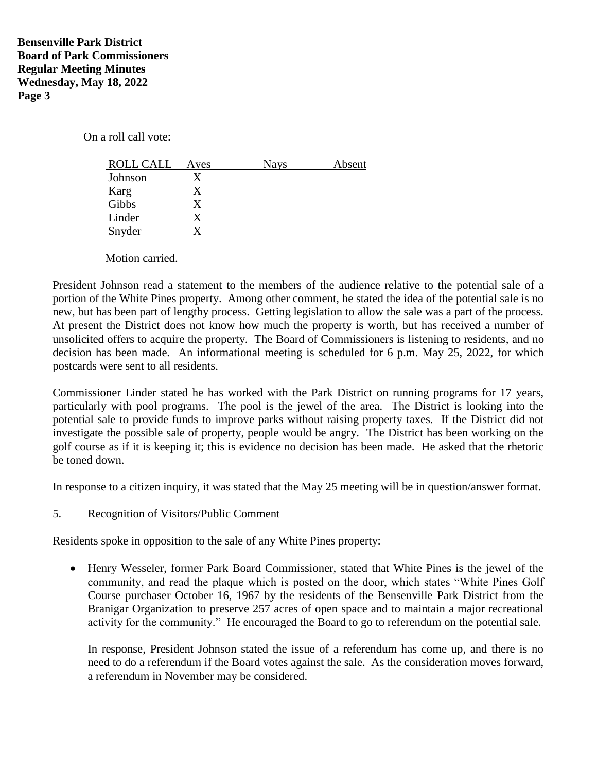On a roll call vote:

| <b>ROLL CALL</b> | Ayes | <b>Nays</b> | Absent |
|------------------|------|-------------|--------|
| Johnson          | X    |             |        |
| Karg             | X    |             |        |
| Gibbs            | X    |             |        |
| Linder           | X    |             |        |
| Snyder           | X    |             |        |
|                  |      |             |        |

Motion carried.

President Johnson read a statement to the members of the audience relative to the potential sale of a portion of the White Pines property. Among other comment, he stated the idea of the potential sale is no new, but has been part of lengthy process. Getting legislation to allow the sale was a part of the process. At present the District does not know how much the property is worth, but has received a number of unsolicited offers to acquire the property. The Board of Commissioners is listening to residents, and no decision has been made. An informational meeting is scheduled for 6 p.m. May 25, 2022, for which postcards were sent to all residents.

Commissioner Linder stated he has worked with the Park District on running programs for 17 years, particularly with pool programs. The pool is the jewel of the area. The District is looking into the potential sale to provide funds to improve parks without raising property taxes. If the District did not investigate the possible sale of property, people would be angry. The District has been working on the golf course as if it is keeping it; this is evidence no decision has been made. He asked that the rhetoric be toned down.

In response to a citizen inquiry, it was stated that the May 25 meeting will be in question/answer format.

## 5. Recognition of Visitors/Public Comment

Residents spoke in opposition to the sale of any White Pines property:

• Henry Wesseler, former Park Board Commissioner, stated that White Pines is the jewel of the community, and read the plaque which is posted on the door, which states "White Pines Golf Course purchaser October 16, 1967 by the residents of the Bensenville Park District from the Branigar Organization to preserve 257 acres of open space and to maintain a major recreational activity for the community." He encouraged the Board to go to referendum on the potential sale.

In response, President Johnson stated the issue of a referendum has come up, and there is no need to do a referendum if the Board votes against the sale. As the consideration moves forward, a referendum in November may be considered.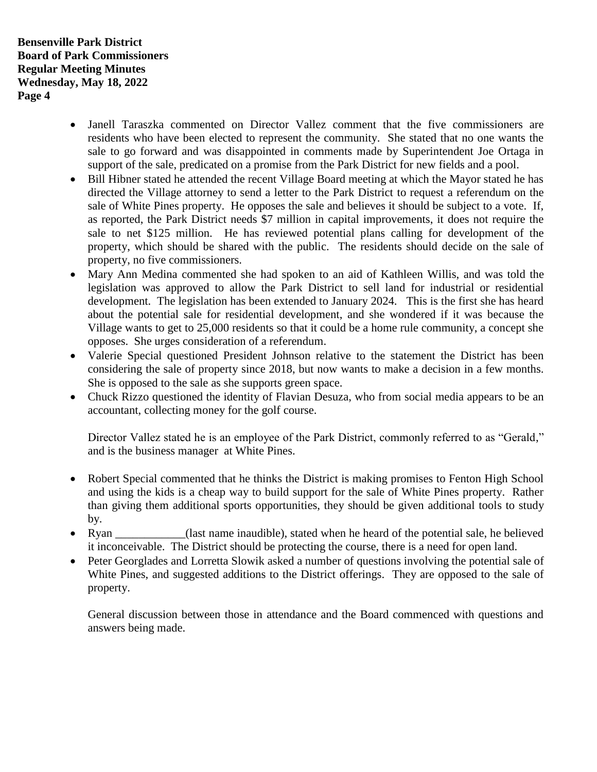- Janell Taraszka commented on Director Vallez comment that the five commissioners are residents who have been elected to represent the community. She stated that no one wants the sale to go forward and was disappointed in comments made by Superintendent Joe Ortaga in support of the sale, predicated on a promise from the Park District for new fields and a pool.
- Bill Hibner stated he attended the recent Village Board meeting at which the Mayor stated he has directed the Village attorney to send a letter to the Park District to request a referendum on the sale of White Pines property. He opposes the sale and believes it should be subject to a vote. If, as reported, the Park District needs \$7 million in capital improvements, it does not require the sale to net \$125 million. He has reviewed potential plans calling for development of the property, which should be shared with the public. The residents should decide on the sale of property, no five commissioners.
- Mary Ann Medina commented she had spoken to an aid of Kathleen Willis, and was told the legislation was approved to allow the Park District to sell land for industrial or residential development. The legislation has been extended to January 2024. This is the first she has heard about the potential sale for residential development, and she wondered if it was because the Village wants to get to 25,000 residents so that it could be a home rule community, a concept she opposes. She urges consideration of a referendum.
- Valerie Special questioned President Johnson relative to the statement the District has been considering the sale of property since 2018, but now wants to make a decision in a few months. She is opposed to the sale as she supports green space.
- Chuck Rizzo questioned the identity of Flavian Desuza, who from social media appears to be an accountant, collecting money for the golf course.

Director Vallez stated he is an employee of the Park District, commonly referred to as "Gerald," and is the business manager at White Pines.

- Robert Special commented that he thinks the District is making promises to Fenton High School and using the kids is a cheap way to build support for the sale of White Pines property. Rather than giving them additional sports opportunities, they should be given additional tools to study by.
- Ryan (last name inaudible), stated when he heard of the potential sale, he believed it inconceivable. The District should be protecting the course, there is a need for open land.
- Peter Georglades and Lorretta Slowik asked a number of questions involving the potential sale of White Pines, and suggested additions to the District offerings. They are opposed to the sale of property.

General discussion between those in attendance and the Board commenced with questions and answers being made.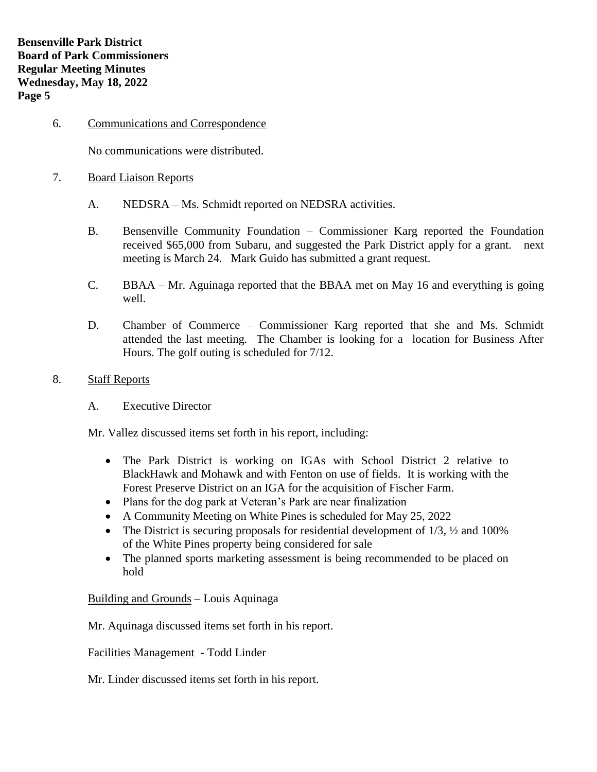6. Communications and Correspondence

No communications were distributed.

- 7. Board Liaison Reports
	- A. NEDSRA Ms. Schmidt reported on NEDSRA activities.
	- B. Bensenville Community Foundation Commissioner Karg reported the Foundation received \$65,000 from Subaru, and suggested the Park District apply for a grant. next meeting is March 24. Mark Guido has submitted a grant request.
	- C. BBAA Mr. Aguinaga reported that the BBAA met on May 16 and everything is going well.
	- D. Chamber of Commerce Commissioner Karg reported that she and Ms. Schmidt attended the last meeting. The Chamber is looking for a location for Business After Hours. The golf outing is scheduled for 7/12.
- 8. Staff Reports
	- A. Executive Director

Mr. Vallez discussed items set forth in his report, including:

- The Park District is working on IGAs with School District 2 relative to BlackHawk and Mohawk and with Fenton on use of fields. It is working with the Forest Preserve District on an IGA for the acquisition of Fischer Farm.
- Plans for the dog park at Veteran's Park are near finalization
- A Community Meeting on White Pines is scheduled for May 25, 2022
- The District is securing proposals for residential development of  $1/3$ ,  $\frac{1}{2}$  and  $100\%$ of the White Pines property being considered for sale
- The planned sports marketing assessment is being recommended to be placed on hold

Building and Grounds – Louis Aquinaga

Mr. Aquinaga discussed items set forth in his report.

Facilities Management - Todd Linder

Mr. Linder discussed items set forth in his report.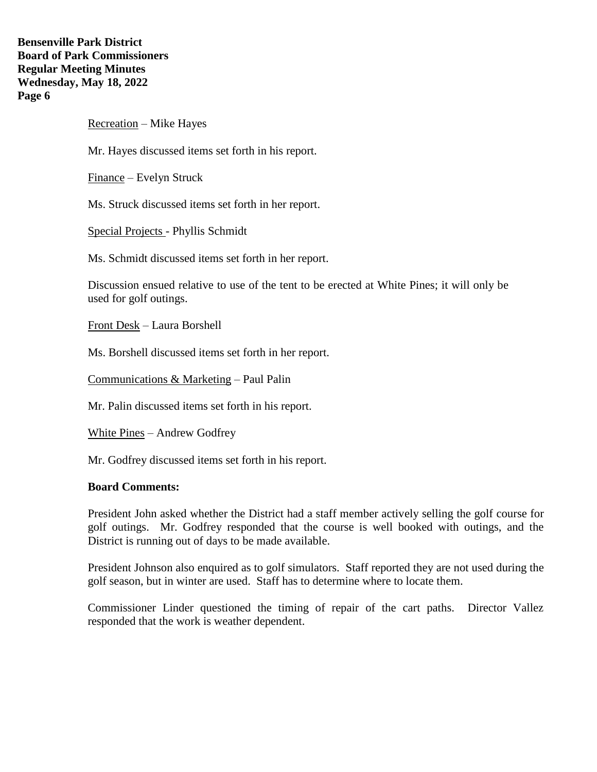# **Bensenville Park District Board of Park Commissioners Regular Meeting Minutes Wednesday, May 18, 2022 Page 6**

Recreation – Mike Hayes

Mr. Hayes discussed items set forth in his report.

Finance – Evelyn Struck

Ms. Struck discussed items set forth in her report.

Special Projects - Phyllis Schmidt

Ms. Schmidt discussed items set forth in her report.

Discussion ensued relative to use of the tent to be erected at White Pines; it will only be used for golf outings.

Front Desk – Laura Borshell

Ms. Borshell discussed items set forth in her report.

Communications & Marketing – Paul Palin

Mr. Palin discussed items set forth in his report.

White Pines – Andrew Godfrey

Mr. Godfrey discussed items set forth in his report.

### **Board Comments:**

President John asked whether the District had a staff member actively selling the golf course for golf outings. Mr. Godfrey responded that the course is well booked with outings, and the District is running out of days to be made available.

President Johnson also enquired as to golf simulators. Staff reported they are not used during the golf season, but in winter are used. Staff has to determine where to locate them.

Commissioner Linder questioned the timing of repair of the cart paths. Director Vallez responded that the work is weather dependent.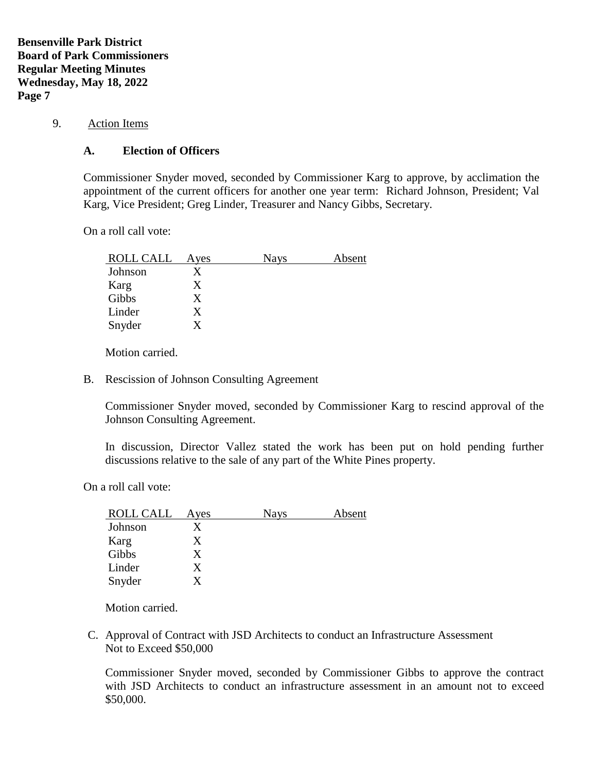**Bensenville Park District Board of Park Commissioners Regular Meeting Minutes Wednesday, May 18, 2022 Page 7**

9. Action Items

## **A. Election of Officers**

Commissioner Snyder moved, seconded by Commissioner Karg to approve, by acclimation the appointment of the current officers for another one year term: Richard Johnson, President; Val Karg, Vice President; Greg Linder, Treasurer and Nancy Gibbs, Secretary.

On a roll call vote:

| ROLL CALL | Ayes | <b>Nays</b> | Absent |
|-----------|------|-------------|--------|
| Johnson   |      |             |        |
| Karg      | X    |             |        |
| Gibbs     | X    |             |        |
| Linder    | X    |             |        |
| Snyder    |      |             |        |

Motion carried.

B. Rescission of Johnson Consulting Agreement

Commissioner Snyder moved, seconded by Commissioner Karg to rescind approval of the Johnson Consulting Agreement.

In discussion, Director Vallez stated the work has been put on hold pending further discussions relative to the sale of any part of the White Pines property.

On a roll call vote:

| <b>ROLL CALL</b> | Ayes | <b>Nays</b> | Absent |
|------------------|------|-------------|--------|
| Johnson          |      |             |        |
| Karg             | X    |             |        |
| Gibbs            | X    |             |        |
| Linder           | X    |             |        |
| Snyder           |      |             |        |

Motion carried.

C. Approval of Contract with JSD Architects to conduct an Infrastructure Assessment Not to Exceed \$50,000

Commissioner Snyder moved, seconded by Commissioner Gibbs to approve the contract with JSD Architects to conduct an infrastructure assessment in an amount not to exceed \$50,000.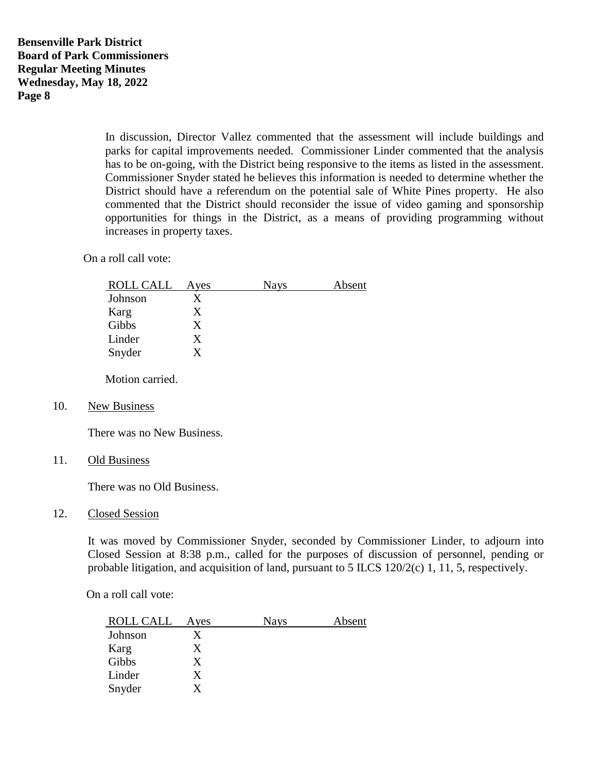In discussion, Director Vallez commented that the assessment will include buildings and parks for capital improvements needed. Commissioner Linder commented that the analysis has to be on-going, with the District being responsive to the items as listed in the assessment. Commissioner Snyder stated he believes this information is needed to determine whether the District should have a referendum on the potential sale of White Pines property. He also commented that the District should reconsider the issue of video gaming and sponsorship opportunities for things in the District, as a means of providing programming without increases in property taxes.

On a roll call vote:

| ROLL CALL | Ayes | <b>Nays</b> | Absent |
|-----------|------|-------------|--------|
| Johnson   | X    |             |        |
| Karg      | X    |             |        |
| Gibbs     | X    |             |        |
| Linder    | X    |             |        |
| Snyder    |      |             |        |

Motion carried.

10. New Business

There was no New Business.

11. Old Business

There was no Old Business.

### 12. Closed Session

It was moved by Commissioner Snyder, seconded by Commissioner Linder, to adjourn into Closed Session at 8:38 p.m., called for the purposes of discussion of personnel, pending or probable litigation, and acquisition of land, pursuant to 5 ILCS 120/2(c) 1, 11, 5, respectively.

On a roll call vote:

| <b>ROLL CALL</b> | Ayes | <b>Nays</b> | Absent |
|------------------|------|-------------|--------|
| Johnson          |      |             |        |
| Karg             | X    |             |        |
| Gibbs            | X    |             |        |
| Linder           | X    |             |        |
| Snyder           |      |             |        |